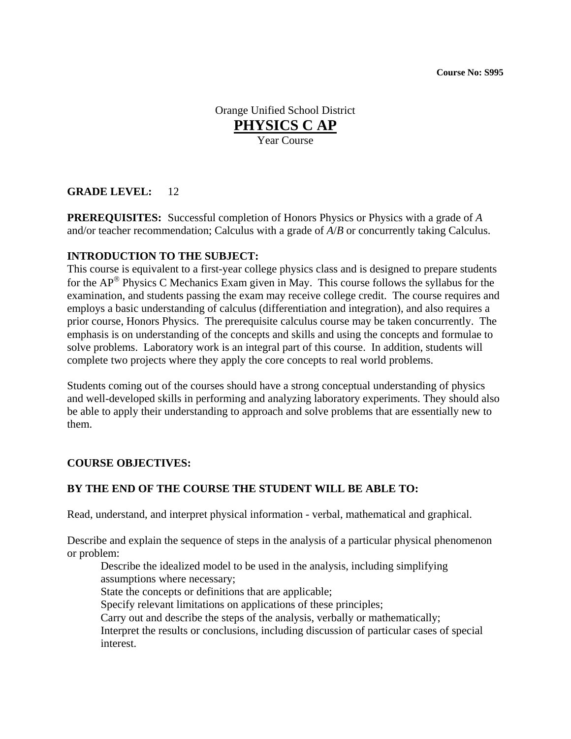Orange Unified School District **PHYSICS C AP** Year Course

## **GRADE LEVEL:** 12

**PREREQUISITES:** Successful completion of Honors Physics or Physics with a grade of *A* and/or teacher recommendation; Calculus with a grade of *A*/*B* or concurrently taking Calculus.

### **INTRODUCTION TO THE SUBJECT:**

This course is equivalent to a first-year college physics class and is designed to prepare students for the  $AP^{\circledR}$  Physics C Mechanics Exam given in May. This course follows the syllabus for the examination, and students passing the exam may receive college credit. The course requires and employs a basic understanding of calculus (differentiation and integration), and also requires a prior course, Honors Physics. The prerequisite calculus course may be taken concurrently. The emphasis is on understanding of the concepts and skills and using the concepts and formulae to solve problems. Laboratory work is an integral part of this course. In addition, students will complete two projects where they apply the core concepts to real world problems.

Students coming out of the courses should have a strong conceptual understanding of physics and well-developed skills in performing and analyzing laboratory experiments. They should also be able to apply their understanding to approach and solve problems that are essentially new to them.

### **COURSE OBJECTIVES:**

### **BY THE END OF THE COURSE THE STUDENT WILL BE ABLE TO:**

Read, understand, and interpret physical information - verbal, mathematical and graphical.

Describe and explain the sequence of steps in the analysis of a particular physical phenomenon or problem:

Describe the idealized model to be used in the analysis, including simplifying assumptions where necessary;

State the concepts or definitions that are applicable;

Specify relevant limitations on applications of these principles;

Carry out and describe the steps of the analysis, verbally or mathematically;

Interpret the results or conclusions, including discussion of particular cases of special interest.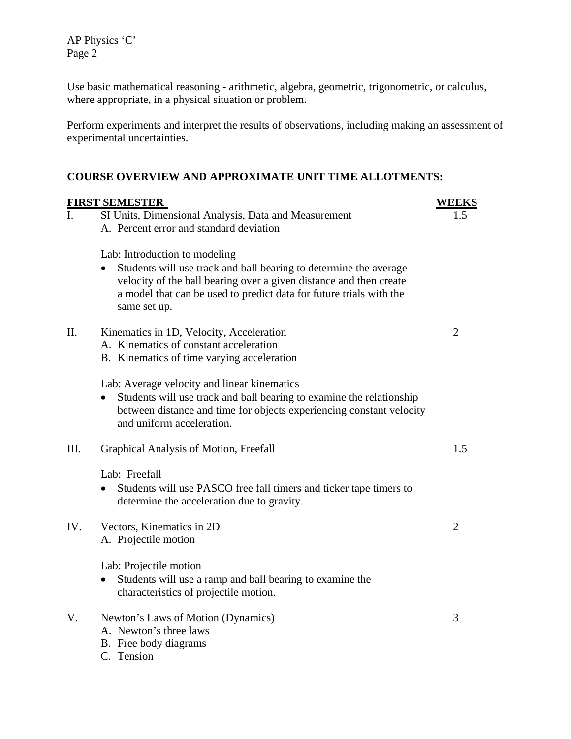AP Physics 'C' Page 2

Use basic mathematical reasoning - arithmetic, algebra, geometric, trigonometric, or calculus, where appropriate, in a physical situation or problem.

Perform experiments and interpret the results of observations, including making an assessment of experimental uncertainties.

# **COURSE OVERVIEW AND APPROXIMATE UNIT TIME ALLOTMENTS:**

|      | <b>FIRST SEMESTER</b>                                                                                                                                                                                                          | <b>WEEKS</b>   |
|------|--------------------------------------------------------------------------------------------------------------------------------------------------------------------------------------------------------------------------------|----------------|
| I.   | SI Units, Dimensional Analysis, Data and Measurement                                                                                                                                                                           | 1.5            |
|      | A. Percent error and standard deviation                                                                                                                                                                                        |                |
|      | Lab: Introduction to modeling                                                                                                                                                                                                  |                |
|      | Students will use track and ball bearing to determine the average<br>velocity of the ball bearing over a given distance and then create<br>a model that can be used to predict data for future trials with the<br>same set up. |                |
| II.  | Kinematics in 1D, Velocity, Acceleration                                                                                                                                                                                       | $\overline{2}$ |
|      | A. Kinematics of constant acceleration                                                                                                                                                                                         |                |
|      | B. Kinematics of time varying acceleration                                                                                                                                                                                     |                |
|      | Lab: Average velocity and linear kinematics                                                                                                                                                                                    |                |
|      | Students will use track and ball bearing to examine the relationship<br>between distance and time for objects experiencing constant velocity<br>and uniform acceleration.                                                      |                |
| III. | Graphical Analysis of Motion, Freefall                                                                                                                                                                                         | 1.5            |
|      | Lab: Freefall                                                                                                                                                                                                                  |                |
|      | Students will use PASCO free fall timers and ticker tape timers to<br>determine the acceleration due to gravity.                                                                                                               |                |
| IV.  | Vectors, Kinematics in 2D                                                                                                                                                                                                      | $\overline{2}$ |
|      | A. Projectile motion                                                                                                                                                                                                           |                |
|      | Lab: Projectile motion                                                                                                                                                                                                         |                |
|      | Students will use a ramp and ball bearing to examine the<br>$\bullet$                                                                                                                                                          |                |
|      | characteristics of projectile motion.                                                                                                                                                                                          |                |
| V.   | Newton's Laws of Motion (Dynamics)                                                                                                                                                                                             | 3              |
|      | A. Newton's three laws                                                                                                                                                                                                         |                |
|      | B. Free body diagrams                                                                                                                                                                                                          |                |
|      | C. Tension                                                                                                                                                                                                                     |                |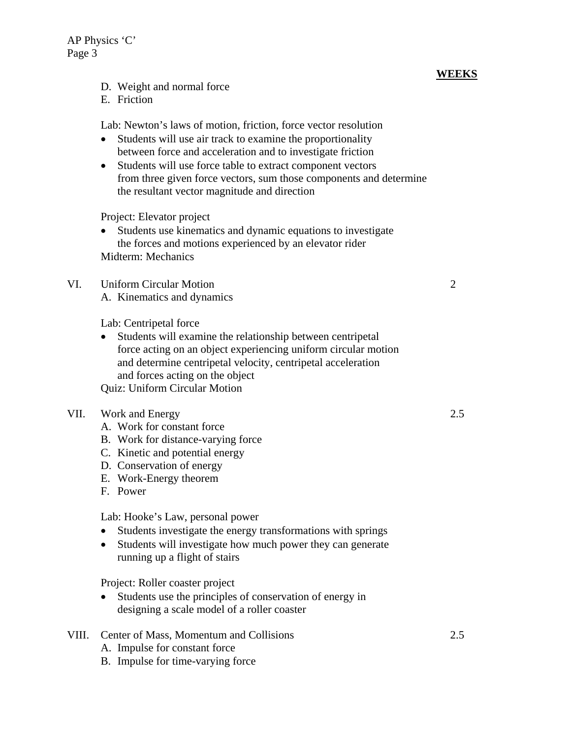- D. Weight and normal force
- E. Friction

Lab: Newton's laws of motion, friction, force vector resolution

- Students will use air track to examine the proportionality between force and acceleration and to investigate friction
- Students will use force table to extract component vectors from three given force vectors, sum those components and determine the resultant vector magnitude and direction

Project: Elevator project

• Students use kinematics and dynamic equations to investigate the forces and motions experienced by an elevator rider Midterm: Mechanics

# VI. Uniform Circular Motion 2

A. Kinematics and dynamics

Lab: Centripetal force

• Students will examine the relationship between centripetal force acting on an object experiencing uniform circular motion and determine centripetal velocity, centripetal acceleration and forces acting on the object Quiz: Uniform Circular Motion

### VII. Work and Energy 2.5

- A. Work for constant force
- B. Work for distance-varying force
- C. Kinetic and potential energy
- D. Conservation of energy
- E. Work-Energy theorem
- F. Power

Lab: Hooke's Law, personal power

- Students investigate the energy transformations with springs
- Students will investigate how much power they can generate running up a flight of stairs

Project: Roller coaster project

- Students use the principles of conservation of energy in designing a scale model of a roller coaster
- VIII. Center of Mass, Momentum and Collisions 2.5
	- A. Impulse for constant force
	- B. Impulse for time-varying force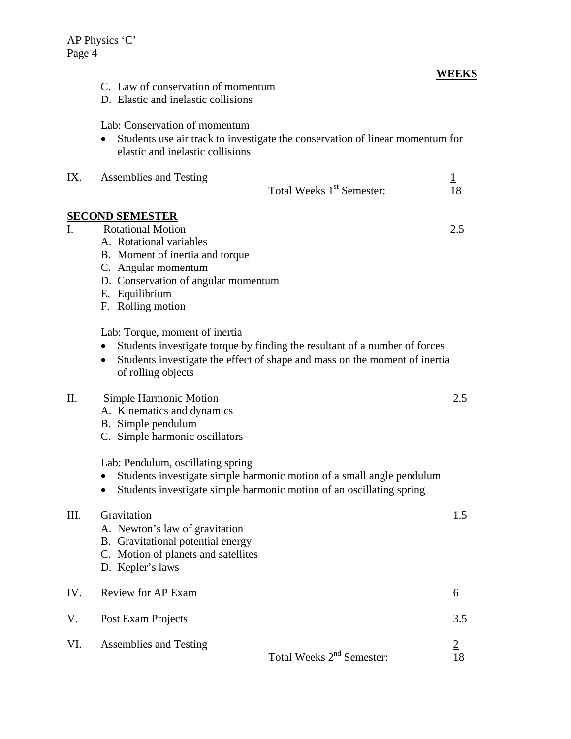C. Law of conservation of momentum D. Elastic and inelastic collisions

# **WEEKS**

|      | Lab: Conservation of momentum<br>Students use air track to investigate the conservation of linear momentum for<br>elastic and inelastic collisions                                                                            |                      |  |
|------|-------------------------------------------------------------------------------------------------------------------------------------------------------------------------------------------------------------------------------|----------------------|--|
| IX.  | <b>Assemblies and Testing</b><br>Total Weeks 1 <sup>st</sup> Semester:                                                                                                                                                        | $\overline{1}$<br>18 |  |
|      | <b>SECOND SEMESTER</b>                                                                                                                                                                                                        |                      |  |
| I.   | <b>Rotational Motion</b><br>A. Rotational variables<br>B. Moment of inertia and torque<br>C. Angular momentum<br>D. Conservation of angular momentum<br>E. Equilibrium<br>F. Rolling motion                                   | 2.5                  |  |
|      | Lab: Torque, moment of inertia<br>Students investigate torque by finding the resultant of a number of forces<br>Students investigate the effect of shape and mass on the moment of inertia<br>$\bullet$<br>of rolling objects |                      |  |
| Π.   | <b>Simple Harmonic Motion</b><br>A. Kinematics and dynamics<br>B. Simple pendulum<br>C. Simple harmonic oscillators                                                                                                           | 2.5                  |  |
|      | Lab: Pendulum, oscillating spring<br>Students investigate simple harmonic motion of a small angle pendulum<br>Students investigate simple harmonic motion of an oscillating spring                                            |                      |  |
| III. | Gravitation<br>A. Newton's law of gravitation<br>B. Gravitational potential energy<br>C. Motion of planets and satellites<br>D. Kepler's laws                                                                                 | 1.5                  |  |
| IV.  | Review for AP Exam                                                                                                                                                                                                            | 6                    |  |
| V.   | Post Exam Projects                                                                                                                                                                                                            | 3.5                  |  |
| VI.  | Assemblies and Testing<br>Total Weeks 2 <sup>nd</sup> Semester:                                                                                                                                                               | $\overline{2}$<br>18 |  |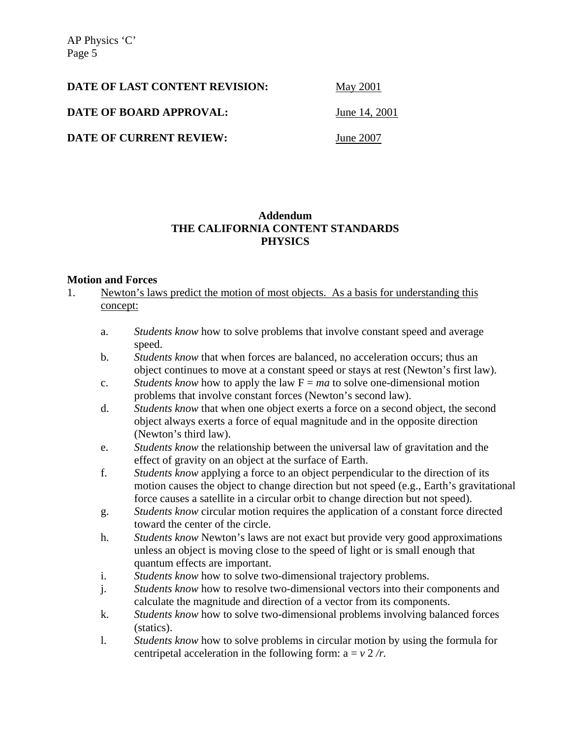AP Physics 'C' Page 5

| <b>DATE OF LAST CONTENT REVISION:</b> | <b>May 2001</b> |
|---------------------------------------|-----------------|
| DATE OF BOARD APPROVAL:               | June 14, 2001   |
| <b>DATE OF CURRENT REVIEW:</b>        | June 2007       |

## **Addendum THE CALIFORNIA CONTENT STANDARDS PHYSICS**

#### **Motion and Forces**

- 1. Newton's laws predict the motion of most objects. As a basis for understanding this concept:
	- a. *Students know* how to solve problems that involve constant speed and average speed.
	- b. *Students know* that when forces are balanced, no acceleration occurs; thus an object continues to move at a constant speed or stays at rest (Newton's first law).
	- c. *Students know* how to apply the law  $F = ma$  to solve one-dimensional motion problems that involve constant forces (Newton's second law).
	- d. *Students know* that when one object exerts a force on a second object, the second object always exerts a force of equal magnitude and in the opposite direction (Newton's third law).
	- e. *Students know* the relationship between the universal law of gravitation and the effect of gravity on an object at the surface of Earth.
	- f. *Students know* applying a force to an object perpendicular to the direction of its motion causes the object to change direction but not speed (e.g., Earth's gravitational force causes a satellite in a circular orbit to change direction but not speed).
	- g. *Students know* circular motion requires the application of a constant force directed toward the center of the circle.
	- h. *Students know* Newton's laws are not exact but provide very good approximations unless an object is moving close to the speed of light or is small enough that quantum effects are important.
	- i. *Students know* how to solve two-dimensional trajectory problems.
	- j. *Students know* how to resolve two-dimensional vectors into their components and calculate the magnitude and direction of a vector from its components.
	- k. *Students know* how to solve two-dimensional problems involving balanced forces (statics).
	- l. *Students know* how to solve problems in circular motion by using the formula for centripetal acceleration in the following form:  $a = v \frac{2}{r}$ .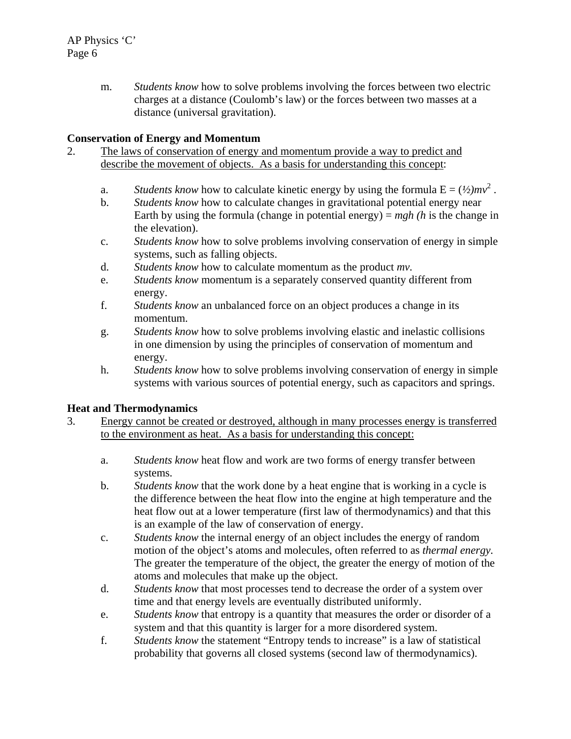m. *Students know* how to solve problems involving the forces between two electric charges at a distance (Coulomb's law) or the forces between two masses at a distance (universal gravitation).

## **Conservation of Energy and Momentum**

- 2. The laws of conservation of energy and momentum provide a way to predict and describe the movement of objects. As a basis for understanding this concept:
	- a. *Students know* how to calculate kinetic energy by using the formula  $E = (1/2)mv^2$ .
	- b. *Students know* how to calculate changes in gravitational potential energy near Earth by using the formula (change in potential energy) = *mgh (h* is the change in the elevation).
	- c. *Students know* how to solve problems involving conservation of energy in simple systems, such as falling objects.
	- d. *Students know* how to calculate momentum as the product *mv.*
	- e. *Students know* momentum is a separately conserved quantity different from energy.
	- f. *Students know* an unbalanced force on an object produces a change in its momentum.
	- g. *Students know* how to solve problems involving elastic and inelastic collisions in one dimension by using the principles of conservation of momentum and energy.
	- h. *Students know* how to solve problems involving conservation of energy in simple systems with various sources of potential energy, such as capacitors and springs.

## **Heat and Thermodynamics**

- 3. Energy cannot be created or destroyed, although in many processes energy is transferred to the environment as heat. As a basis for understanding this concept:
	- a. *Students know* heat flow and work are two forms of energy transfer between systems.
	- b. *Students know* that the work done by a heat engine that is working in a cycle is the difference between the heat flow into the engine at high temperature and the heat flow out at a lower temperature (first law of thermodynamics) and that this is an example of the law of conservation of energy.
	- c. *Students know* the internal energy of an object includes the energy of random motion of the object's atoms and molecules, often referred to as *thermal energy.*  The greater the temperature of the object, the greater the energy of motion of the atoms and molecules that make up the object.
	- d. *Students know* that most processes tend to decrease the order of a system over time and that energy levels are eventually distributed uniformly.
	- e. *Students know* that entropy is a quantity that measures the order or disorder of a system and that this quantity is larger for a more disordered system.
	- f. *Students know* the statement "Entropy tends to increase" is a law of statistical probability that governs all closed systems (second law of thermodynamics).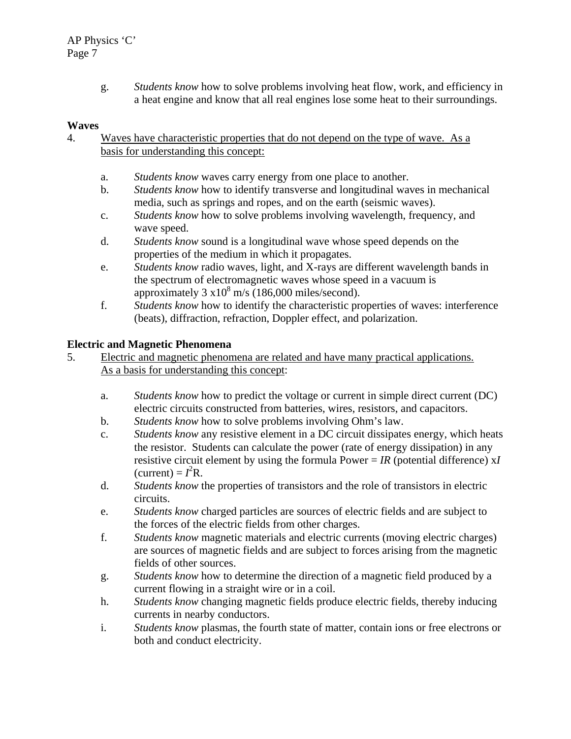g. *Students know* how to solve problems involving heat flow, work, and efficiency in a heat engine and know that all real engines lose some heat to their surroundings.

### **Waves**

- 4. Waves have characteristic properties that do not depend on the type of wave. As a basis for understanding this concept:
	- a. *Students know* waves carry energy from one place to another.
	- b. *Students know* how to identify transverse and longitudinal waves in mechanical media, such as springs and ropes, and on the earth (seismic waves).
	- c. *Students know* how to solve problems involving wavelength, frequency, and wave speed.
	- d. *Students know* sound is a longitudinal wave whose speed depends on the properties of the medium in which it propagates.
	- e. *Students know* radio waves, light, and X-rays are different wavelength bands in the spectrum of electromagnetic waves whose speed in a vacuum is approximately  $3 \times 10^8$  m/s (186,000 miles/second).
	- f. *Students know* how to identify the characteristic properties of waves: interference (beats), diffraction, refraction, Doppler effect, and polarization.

### **Electric and Magnetic Phenomena**

- 5. Electric and magnetic phenomena are related and have many practical applications. As a basis for understanding this concept:
	- a. *Students know* how to predict the voltage or current in simple direct current (DC) electric circuits constructed from batteries, wires, resistors, and capacitors.
	- b. *Students know* how to solve problems involving Ohm's law.
	- c. *Students know* any resistive element in a DC circuit dissipates energy, which heats the resistor. Students can calculate the power (rate of energy dissipation) in any resistive circuit element by using the formula Power =  $IR$  (potential difference)  $xI$  $(\text{current}) = I^2 R$ .
	- d. *Students know* the properties of transistors and the role of transistors in electric circuits.
	- e. *Students know* charged particles are sources of electric fields and are subject to the forces of the electric fields from other charges.
	- f. *Students know* magnetic materials and electric currents (moving electric charges) are sources of magnetic fields and are subject to forces arising from the magnetic fields of other sources.
	- g. *Students know* how to determine the direction of a magnetic field produced by a current flowing in a straight wire or in a coil.
	- h. *Students know* changing magnetic fields produce electric fields, thereby inducing currents in nearby conductors.
	- i. *Students know* plasmas, the fourth state of matter, contain ions or free electrons or both and conduct electricity.